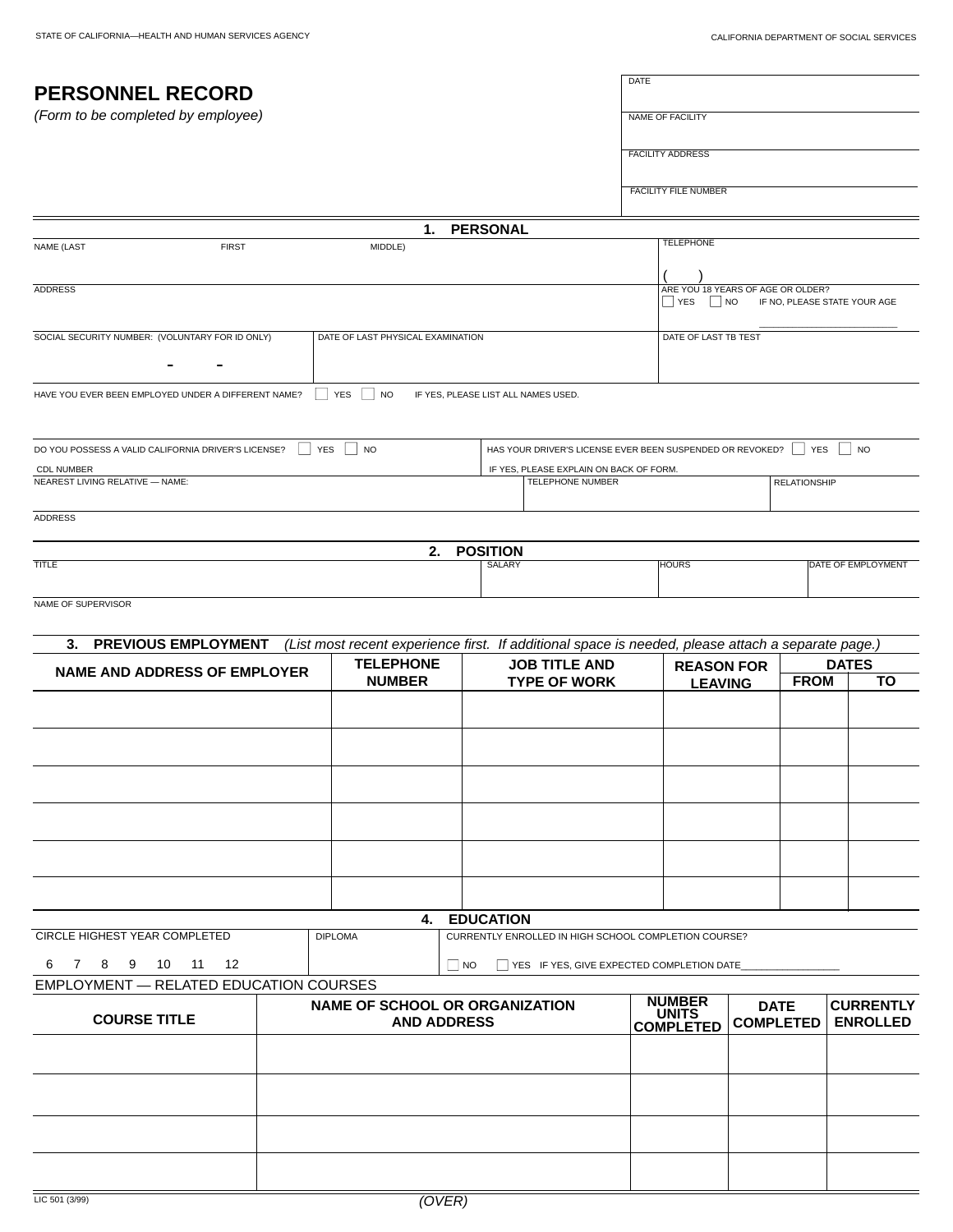İ,

| <b>PERSONNEL RECORD</b><br>(Form to be completed by employee) |  |                                                             |                                     |                                                                                | DATE                                                      |                                                                                                                         |             |                                     |  |  |
|---------------------------------------------------------------|--|-------------------------------------------------------------|-------------------------------------|--------------------------------------------------------------------------------|-----------------------------------------------------------|-------------------------------------------------------------------------------------------------------------------------|-------------|-------------------------------------|--|--|
|                                                               |  |                                                             |                                     |                                                                                | <b>NAME OF FACILITY</b>                                   |                                                                                                                         |             |                                     |  |  |
|                                                               |  |                                                             |                                     |                                                                                |                                                           |                                                                                                                         |             |                                     |  |  |
|                                                               |  |                                                             |                                     |                                                                                | <b>FACILITY ADDRESS</b>                                   |                                                                                                                         |             |                                     |  |  |
|                                                               |  |                                                             |                                     |                                                                                | <b>FACILITY FILE NUMBER</b>                               |                                                                                                                         |             |                                     |  |  |
|                                                               |  | 1.                                                          | <b>PERSONAL</b>                     |                                                                                |                                                           |                                                                                                                         |             |                                     |  |  |
| <b>FIRST</b><br><b>NAME (LAST</b>                             |  | MIDDLE)                                                     |                                     |                                                                                | <b>TELEPHONE</b>                                          |                                                                                                                         |             |                                     |  |  |
|                                                               |  |                                                             |                                     |                                                                                |                                                           |                                                                                                                         |             |                                     |  |  |
| <b>ADDRESS</b>                                                |  |                                                             |                                     |                                                                                | ARE YOU 18 YEARS OF AGE OR OLDER?<br>$\Box$ YES $\Box$ NO |                                                                                                                         |             | IF NO, PLEASE STATE YOUR AGE        |  |  |
| SOCIAL SECURITY NUMBER: (VOLUNTARY FOR ID ONLY)               |  | DATE OF LAST PHYSICAL EXAMINATION                           |                                     |                                                                                | DATE OF LAST TB TEST                                      |                                                                                                                         |             |                                     |  |  |
|                                                               |  |                                                             |                                     |                                                                                |                                                           |                                                                                                                         |             |                                     |  |  |
| HAVE YOU EVER BEEN EMPLOYED UNDER A DIFFERENT NAME?           |  | $\Box$ YES $\Box$ NO                                        | IF YES, PLEASE LIST ALL NAMES USED. |                                                                                |                                                           |                                                                                                                         |             |                                     |  |  |
|                                                               |  |                                                             |                                     |                                                                                |                                                           |                                                                                                                         |             |                                     |  |  |
| DO YOU POSSESS A VALID CALIFORNIA DRIVER'S LICENSE?           |  | $\Box$ YES $\Box$ NO                                        |                                     | HAS YOUR DRIVER'S LICENSE EVER BEEN SUSPENDED OR REVOKED? $\Box$ YES $\Box$ NO |                                                           |                                                                                                                         |             |                                     |  |  |
| <b>CDL NUMBER</b>                                             |  |                                                             |                                     | IF YES, PLEASE EXPLAIN ON BACK OF FORM.                                        |                                                           |                                                                                                                         |             |                                     |  |  |
| NEAREST LIVING RELATIVE - NAME:                               |  |                                                             |                                     | TELEPHONE NUMBER                                                               |                                                           | <b>RELATIONSHIP</b>                                                                                                     |             |                                     |  |  |
| <b>ADDRESS</b>                                                |  |                                                             |                                     |                                                                                |                                                           |                                                                                                                         |             |                                     |  |  |
|                                                               |  | 2.                                                          | <b>POSITION</b>                     |                                                                                |                                                           |                                                                                                                         |             |                                     |  |  |
| <b>TITLE</b>                                                  |  |                                                             | <b>SALARY</b>                       |                                                                                | <b>HOURS</b>                                              |                                                                                                                         |             | DATE OF EMPLOYMENT                  |  |  |
| NAME OF SUPERVISOR                                            |  |                                                             |                                     |                                                                                |                                                           |                                                                                                                         |             |                                     |  |  |
| 3. PREVIOUS EMPLOYMENT                                        |  |                                                             |                                     |                                                                                |                                                           |                                                                                                                         |             |                                     |  |  |
|                                                               |  | <b>TELEPHONE</b>                                            |                                     | <b>JOB TITLE AND</b>                                                           |                                                           | (List most recent experience first. If additional space is needed, please attach a separate page.)<br><b>REASON FOR</b> |             | <b>DATES</b>                        |  |  |
| <b>NAME AND ADDRESS OF EMPLOYER</b>                           |  | <b>NUMBER</b>                                               | <b>TYPE OF WORK</b>                 |                                                                                | <b>LEAVING</b>                                            |                                                                                                                         | <b>FROM</b> | TO                                  |  |  |
|                                                               |  |                                                             |                                     |                                                                                |                                                           |                                                                                                                         |             |                                     |  |  |
|                                                               |  |                                                             |                                     |                                                                                |                                                           |                                                                                                                         |             |                                     |  |  |
|                                                               |  |                                                             |                                     |                                                                                |                                                           |                                                                                                                         |             |                                     |  |  |
|                                                               |  |                                                             |                                     |                                                                                |                                                           |                                                                                                                         |             |                                     |  |  |
|                                                               |  |                                                             |                                     |                                                                                |                                                           |                                                                                                                         |             |                                     |  |  |
|                                                               |  |                                                             |                                     |                                                                                |                                                           |                                                                                                                         |             |                                     |  |  |
|                                                               |  |                                                             |                                     |                                                                                |                                                           |                                                                                                                         |             |                                     |  |  |
|                                                               |  |                                                             |                                     |                                                                                |                                                           |                                                                                                                         |             |                                     |  |  |
|                                                               |  | 4.                                                          | <b>EDUCATION</b>                    |                                                                                |                                                           |                                                                                                                         |             |                                     |  |  |
| CIRCLE HIGHEST YEAR COMPLETED                                 |  | <b>DIPLOMA</b>                                              |                                     | CURRENTLY ENROLLED IN HIGH SCHOOL COMPLETION COURSE?                           |                                                           |                                                                                                                         |             |                                     |  |  |
| 7 8<br>11<br>12<br>9<br>10<br>6                               |  |                                                             | $\square$ NO                        | $\Box$ YES IF YES, GIVE EXPECTED COMPLETION DATE                               |                                                           |                                                                                                                         |             |                                     |  |  |
| <b>EMPLOYMENT - RELATED EDUCATION COURSES</b>                 |  |                                                             |                                     |                                                                                |                                                           |                                                                                                                         |             |                                     |  |  |
| <b>COURSE TITLE</b>                                           |  | <b>NAME OF SCHOOL OR ORGANIZATION</b><br><b>AND ADDRESS</b> |                                     |                                                                                | <b>NUMBER</b><br><b>UNITS</b><br><b>COMPLETED</b>         | <b>DATE</b><br><b>COMPLETED</b>                                                                                         |             | <b>CURRENTLY</b><br><b>ENROLLED</b> |  |  |
|                                                               |  |                                                             |                                     |                                                                                |                                                           |                                                                                                                         |             |                                     |  |  |
|                                                               |  |                                                             |                                     |                                                                                |                                                           |                                                                                                                         |             |                                     |  |  |
|                                                               |  |                                                             |                                     |                                                                                |                                                           |                                                                                                                         |             |                                     |  |  |
|                                                               |  |                                                             |                                     |                                                                                |                                                           |                                                                                                                         |             |                                     |  |  |